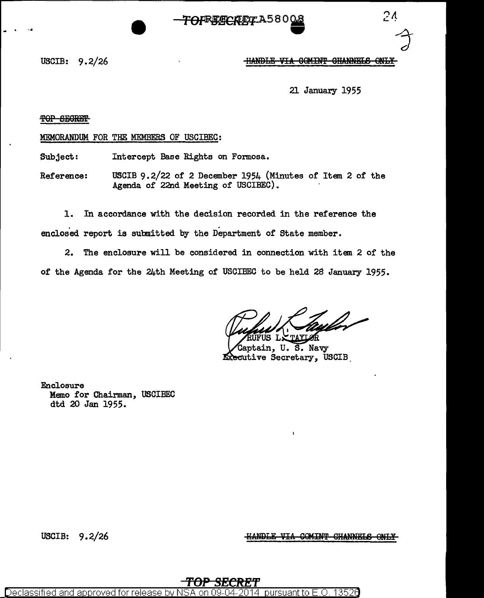$2<sub>4</sub>$ 

USCIB: 9.2/26

### **HANDLE VIA COMINT CHANNELS ONLY**

21 January 1955

TOP SECRET

MEMORANDUM FOR THE MEMBERS OF USCIBEC:

Intercept Base Rights on Formosa. Subject:

USCIB 9.2/22 of 2 December 1954 (Minutes of Item 2 of the Reference: Agenda of 22nd Meeting of USCIBEC).

 $1.$ In accordance with the decision recorded in the reference the enclosed report is submitted by the Department of State member.

2. The enclosure will be considered in connection with item 2 of the of the Agenda for the 24th Meeting of USCIBEC to be held 28 January 1955.

Captain, U. S. Navy **Executive Secretary, USCIB** 

Enclosure Memo for Chairman, USCIBEC dtd 20 Jan 1955.

USCIB:  $9.2/26$ 

**HANDLE VIA COMINT CHANNELS ONLY** 

Declassified and approved for releas oursuant to F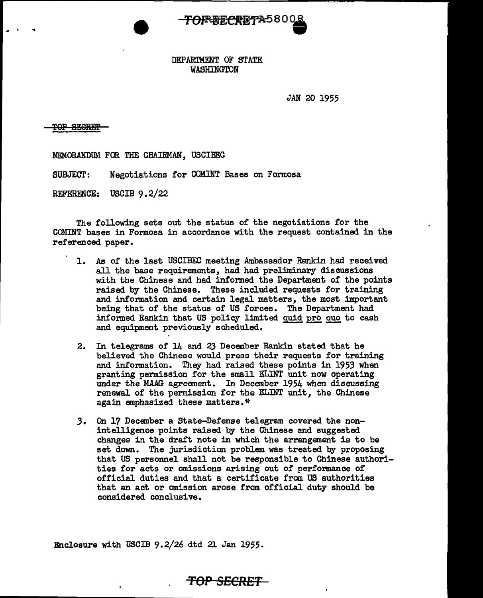

## DEPARTMENT OF STATE WASHINGTON

JAN 20 1955

TOP SECRET

MEMORANDUM FOR THE CHAIRMAN, USCIBEC

SUBJECT: Negotiations for COMINT Bases on Formosa

REFERENCE: USCIB 9.2/22

The following sets out the status of the negotiations for the COMINT bases in Formosa in accordance with the request contained in the referenced paper.

- 1. As of the last USCIBEC meeting Ambassador Rankin had received all the base requirements, had had preliminary discussions with the Chinese and had informed the Department of the points raised by the Chinese. These included requests for training and information and certain legal matters, the most important being that of the status of US forces. The Department had informed Rankin that US policy limited guid pro guo to cash and equipment previously scheduled.
- 2. In telegrams of 14 and 23 December Rankin stated that he believed the Chinese would press their requests for training and information. They had raised these points in 1953 when granting permission for the small ELINT unit now operating under the MAAG agreement. In December 1954 when discussing renewal of the permission for the EI.INT unit, the Chinese again emphasized these matters.\*
- J. On 17 Decenber a State-Defense telegram covered the nonintelligence points raised by the Chinese and suggested changes in the draft note in which the arrangement is to be set down. The jurisdiction problem was treated by proposing that US personnel shall not be responsible to Chinese authorities for acts or omissions arising out of performance of official duties and that a certificate from US authorities that an act or omission arose from official duty should be considered conclusive.

Enclosure with USCIB 9.2/26 dtd 21 Jan 1955.

# **TOP SECRET**